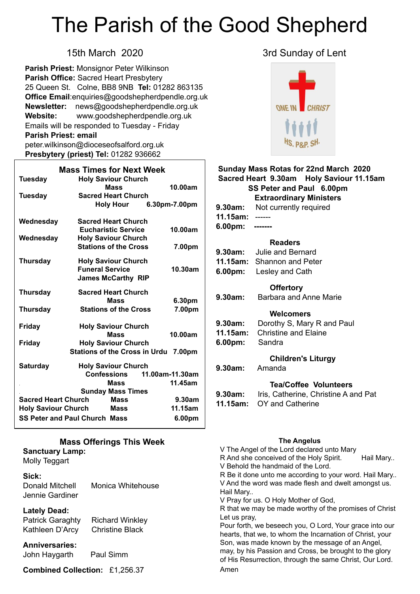# The Parish of the Good Shepherd

**Parish Priest:** Monsignor Peter Wilkinson **Parish Office:** Sacred Heart Presbytery 25 Queen St. Colne, BB8 9NB **Tel:** 01282 863135 **Office Email**[:enquiries@goodshepherdpendle.org.uk](mailto:enquiries@goodshepherdpendle.org.uk) **Newsletter:** news@goodshepherdpendle.org.uk **Website:** www.goodshepherdpendle.org.uk Emails will be responded to Tuesday - Friday **Parish Priest: email**  [peter.wilkinson@dioceseofsalford.org.uk](mailto:Emailpeter.wilkinson@dioceseofsalford.org.uk) **Presbytery (priest) Tel:** 01282 936662

| <b>Mass Times for Next Week</b>                      |                                      |                 |  |
|------------------------------------------------------|--------------------------------------|-----------------|--|
| <b>Tuesday</b>                                       | <b>Holy Saviour Church</b>           |                 |  |
|                                                      | Mass                                 | 10.00am         |  |
| <b>Tuesday</b>                                       | <b>Sacred Heart Church</b>           |                 |  |
|                                                      | <b>Holy Hour</b>                     | 6.30pm-7.00pm   |  |
| Wednesday                                            | <b>Sacred Heart Church</b>           |                 |  |
|                                                      | <b>Eucharistic Service</b>           | 10.00am         |  |
| Wednesday                                            | <b>Holy Saviour Church</b>           |                 |  |
|                                                      | <b>Stations of the Cross</b>         | 7.00pm          |  |
| <b>Thursday</b>                                      | <b>Holy Saviour Church</b>           |                 |  |
|                                                      | <b>Funeral Service</b>               | 10.30am         |  |
|                                                      | <b>James McCarthy RIP</b>            |                 |  |
| <b>Thursday</b>                                      | <b>Sacred Heart Church</b>           |                 |  |
|                                                      | Mass                                 | 6.30pm          |  |
| <b>Thursday</b>                                      | <b>Stations of the Cross</b>         | 7.00pm          |  |
| <b>Friday</b>                                        | <b>Holy Saviour Church</b>           |                 |  |
|                                                      | <b>Mass</b>                          | 10.00am         |  |
| <b>Friday</b>                                        | <b>Holy Saviour Church</b>           |                 |  |
|                                                      | Stations of the Cross in Urdu 7.00pm |                 |  |
| <b>Saturday</b>                                      | <b>Holy Saviour Church</b>           |                 |  |
|                                                      | <b>Confessions</b>                   | 11.00am-11.30am |  |
|                                                      | <b>Mass</b>                          | 11.45am         |  |
|                                                      | <b>Sunday Mass Times</b>             |                 |  |
| <b>Sacred Heart Church</b><br><b>Mass</b><br>9.30am  |                                      |                 |  |
| 11.15am<br><b>Holy Saviour Church</b><br><b>Mass</b> |                                      |                 |  |
| <b>SS Peter and Paul Church Mass</b><br>6.00pm       |                                      |                 |  |

#### **Mass Offerings This Week Sanctuary Lamp:**  Molly Teggart

### **Sick:**

Donald Mitchell Monica Whitehouse Jennie Gardiner

#### **Lately Dead:**

Patrick Garaghty Richard Winkley Kathleen D'Arcy Christine Black

## **Anniversaries:**

John Haygarth Paul Simm

**Combined Collection:** £1,256.37

### 15th March 2020 3rd Sunday of Lent



#### **Sunday Mass Rotas for 22nd March 2020 Sacred Heart 9.30am Holy Saviour 11.15am SS Peter and Paul 6.00pm Extraordinary Ministers**

|                 | <b>9.30am:</b> Not currently required |
|-----------------|---------------------------------------|
| 11.15am: ------ |                                       |
| 6.00pm: ------- |                                       |

#### **Readers**

| 9.30am: | Julie and Bernard                 |
|---------|-----------------------------------|
|         | <b>11.15am:</b> Shannon and Peter |
| 6.00pm: | Lesley and Cath                   |

#### **Offertory**

| Barbara and Anne Marie<br>9.30am: |
|-----------------------------------|
|-----------------------------------|

#### **Welcomers**

| 9.30am: | Dorothy S, Mary R and Paul |
|---------|----------------------------|
|         |                            |

- **11.15am:** Christine and Elaine
- **6.00pm:** Sandra

#### **Children's Liturgy**

**9.30am:** Amanda

#### **Tea/Coffee Volunteers**

| 9.30am: | Iris, Catherine, Christine A and Pat |
|---------|--------------------------------------|
|         | <b>11.15am:</b> OY and Catherine     |

#### **The Angelus**

V The Angel of the Lord declared unto Mary R And she conceived of the Holy Spirit. Hail Mary.. V Behold the handmaid of the Lord. R Be it done unto me according to your word. Hail Mary.. V And the word was made flesh and dwelt amongst us. Hail Mary.. V Pray for us. O Holy Mother of God, R that we may be made worthy of the promises of Christ Let us pray, Pour forth, we beseech you, O Lord, Your grace into our hearts, that we, to whom the Incarnation of Christ, your Son, was made known by the message of an Angel, may, by his Passion and Cross, be brought to the glory of His Resurrection, through the same Christ, Our Lord. Amen